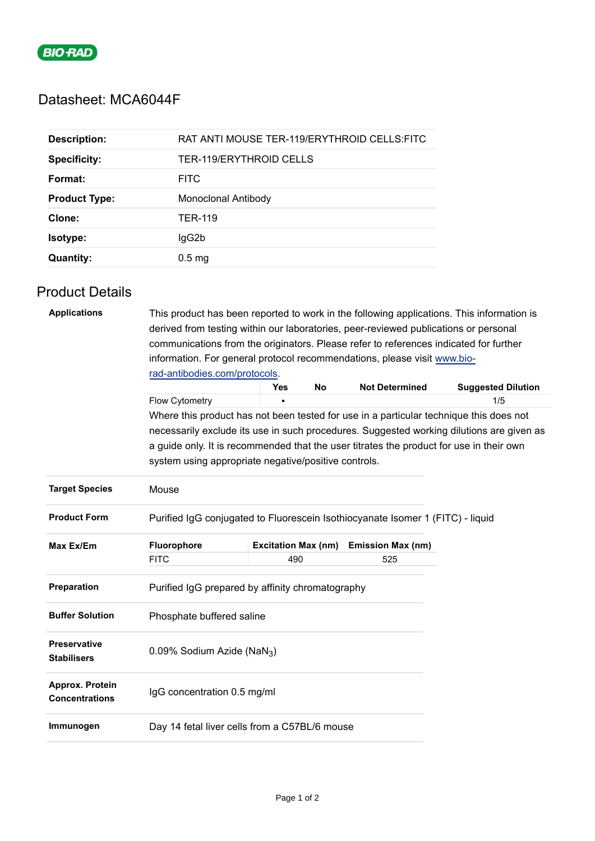

## Datasheet: MCA6044F

| <b>Description:</b>  | RAT ANTI MOUSE TER-119/ERYTHROID CELLS:FITC |
|----------------------|---------------------------------------------|
| <b>Specificity:</b>  | TER-119/ERYTHROID CELLS                     |
| Format:              | <b>FITC</b>                                 |
| <b>Product Type:</b> | Monoclonal Antibody                         |
| Clone:               | TER-119                                     |
| Isotype:             | lgG2b                                       |
| <b>Quantity:</b>     | 0.5 <sub>mg</sub>                           |

## Product Details

| <b>Applications</b>                       | This product has been reported to work in the following applications. This information is<br>derived from testing within our laboratories, peer-reviewed publications or personal |                                                                                        |           |                          |                                                                                          |  |  |  |
|-------------------------------------------|-----------------------------------------------------------------------------------------------------------------------------------------------------------------------------------|----------------------------------------------------------------------------------------|-----------|--------------------------|------------------------------------------------------------------------------------------|--|--|--|
|                                           | communications from the originators. Please refer to references indicated for further                                                                                             |                                                                                        |           |                          |                                                                                          |  |  |  |
|                                           | information. For general protocol recommendations, please visit www.bio-<br>rad-antibodies.com/protocols.                                                                         |                                                                                        |           |                          |                                                                                          |  |  |  |
|                                           |                                                                                                                                                                                   |                                                                                        |           |                          |                                                                                          |  |  |  |
|                                           |                                                                                                                                                                                   | Yes                                                                                    | <b>No</b> | <b>Not Determined</b>    | <b>Suggested Dilution</b>                                                                |  |  |  |
|                                           | Flow Cytometry                                                                                                                                                                    |                                                                                        |           |                          | 1/5                                                                                      |  |  |  |
|                                           |                                                                                                                                                                                   | Where this product has not been tested for use in a particular technique this does not |           |                          |                                                                                          |  |  |  |
|                                           |                                                                                                                                                                                   |                                                                                        |           |                          | necessarily exclude its use in such procedures. Suggested working dilutions are given as |  |  |  |
|                                           | a guide only. It is recommended that the user titrates the product for use in their own                                                                                           |                                                                                        |           |                          |                                                                                          |  |  |  |
|                                           | system using appropriate negative/positive controls.                                                                                                                              |                                                                                        |           |                          |                                                                                          |  |  |  |
| <b>Target Species</b>                     | Mouse                                                                                                                                                                             |                                                                                        |           |                          |                                                                                          |  |  |  |
| <b>Product Form</b>                       | Purified IgG conjugated to Fluorescein Isothiocyanate Isomer 1 (FITC) - liquid                                                                                                    |                                                                                        |           |                          |                                                                                          |  |  |  |
| Max Ex/Em                                 | Fluorophore                                                                                                                                                                       | <b>Excitation Max (nm)</b>                                                             |           | <b>Emission Max (nm)</b> |                                                                                          |  |  |  |
|                                           | <b>FITC</b>                                                                                                                                                                       | 490                                                                                    |           | 525                      |                                                                                          |  |  |  |
| <b>Preparation</b>                        | Purified IgG prepared by affinity chromatography                                                                                                                                  |                                                                                        |           |                          |                                                                                          |  |  |  |
| <b>Buffer Solution</b>                    | Phosphate buffered saline                                                                                                                                                         |                                                                                        |           |                          |                                                                                          |  |  |  |
| <b>Preservative</b><br><b>Stabilisers</b> | 0.09% Sodium Azide (NaN <sub>3</sub> )                                                                                                                                            |                                                                                        |           |                          |                                                                                          |  |  |  |
| Approx. Protein<br><b>Concentrations</b>  | IgG concentration 0.5 mg/ml                                                                                                                                                       |                                                                                        |           |                          |                                                                                          |  |  |  |
| Immunogen                                 | Day 14 fetal liver cells from a C57BL/6 mouse                                                                                                                                     |                                                                                        |           |                          |                                                                                          |  |  |  |